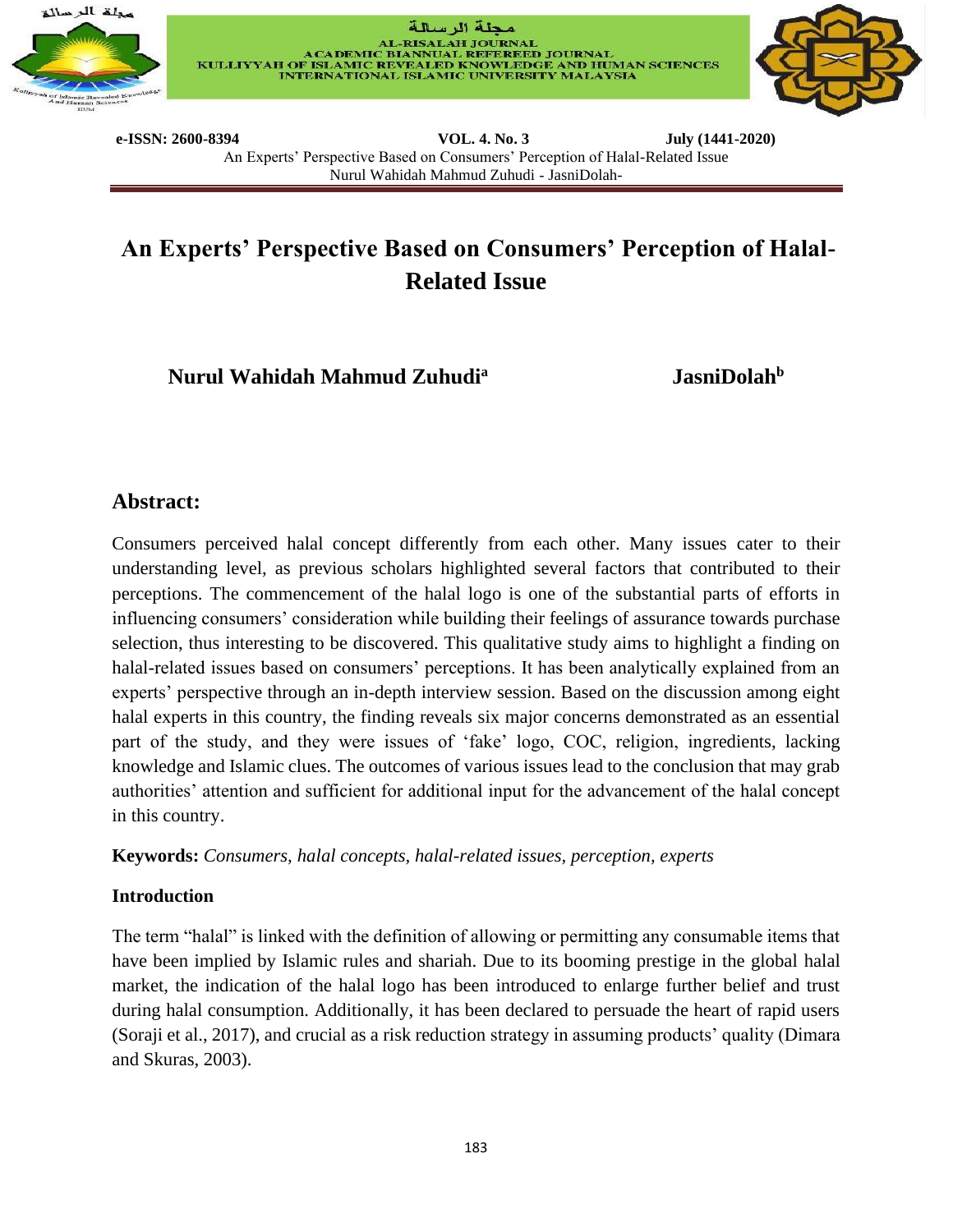





**e-ISSN: 2600-8394 VOL. 4. No. 3 July (1441-2020)**  An Experts' Perspective Based on Consumers' Perception of Halal-Related Issue Nurul Wahidah Mahmud Zuhudi - JasniDolah-

# **An Experts' Perspective Based on Consumers' Perception of Halal-Related Issue**

**Nurul Wahidah Mahmud Zuhudi<sup>a</sup>**

 **JasniDolah<sup>b</sup>**

## **Abstract:**

Consumers perceived halal concept differently from each other. Many issues cater to their understanding level, as previous scholars highlighted several factors that contributed to their perceptions. The commencement of the halal logo is one of the substantial parts of efforts in influencing consumers' consideration while building their feelings of assurance towards purchase selection, thus interesting to be discovered. This qualitative study aims to highlight a finding on halal-related issues based on consumers' perceptions. It has been analytically explained from an experts' perspective through an in-depth interview session. Based on the discussion among eight halal experts in this country, the finding reveals six major concerns demonstrated as an essential part of the study, and they were issues of 'fake' logo, COC, religion, ingredients, lacking knowledge and Islamic clues. The outcomes of various issues lead to the conclusion that may grab authorities' attention and sufficient for additional input for the advancement of the halal concept in this country.

**Keywords:** *Consumers, halal concepts, halal-related issues, perception, experts*

## **Introduction**

The term "halal" is linked with the definition of allowing or permitting any consumable items that have been implied by Islamic rules and shariah. Due to its booming prestige in the global halal market, the indication of the halal logo has been introduced to enlarge further belief and trust during halal consumption. Additionally, it has been declared to persuade the heart of rapid users (Soraji et al., 2017), and crucial as a risk reduction strategy in assuming products' quality (Dimara and Skuras, 2003).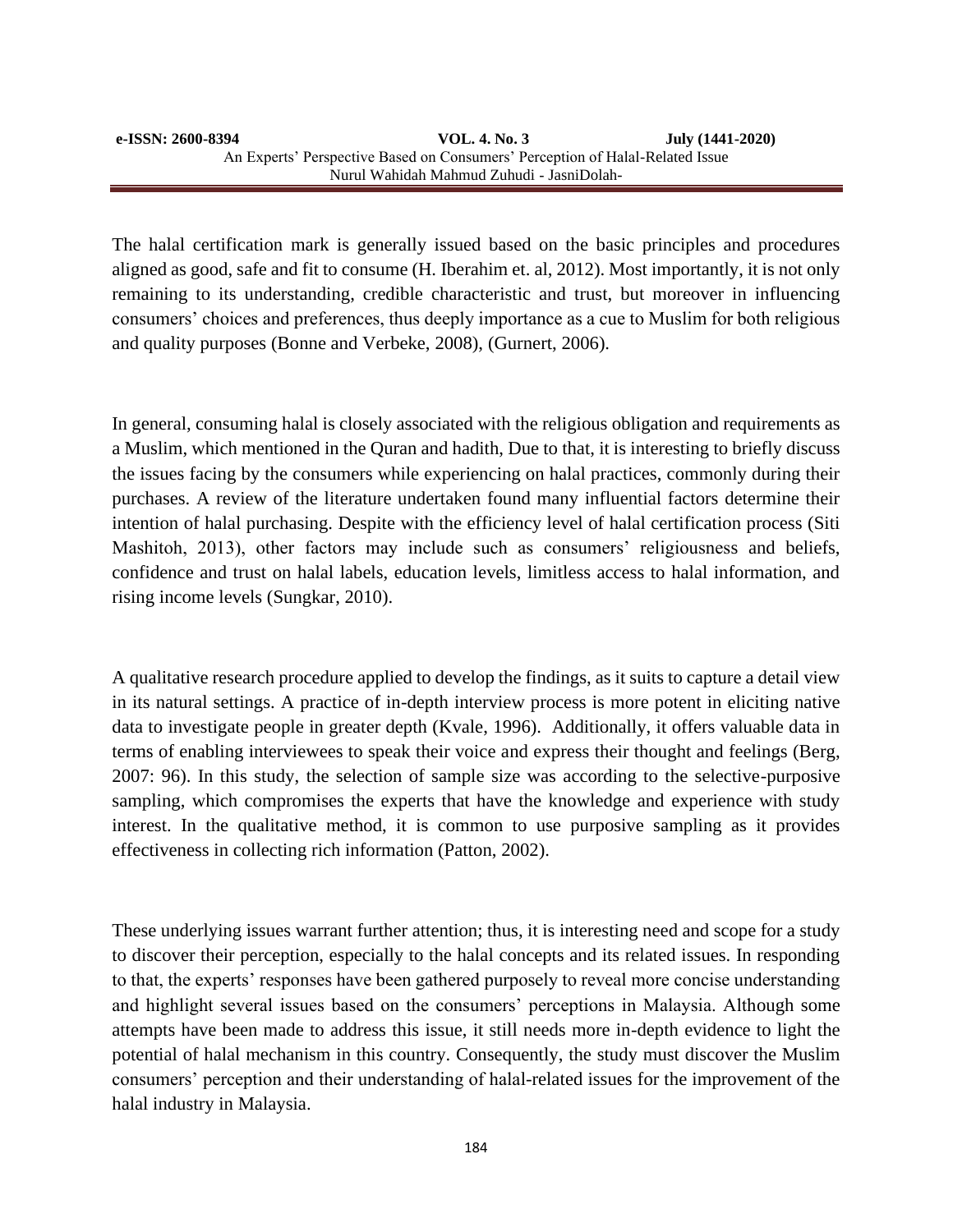The halal certification mark is generally issued based on the basic principles and procedures aligned as good, safe and fit to consume (H. Iberahim et. al, 2012). Most importantly, it is not only remaining to its understanding, credible characteristic and trust, but moreover in influencing consumers' choices and preferences, thus deeply importance as a cue to Muslim for both religious and quality purposes (Bonne and Verbeke, 2008), (Gurnert, 2006).

In general, consuming halal is closely associated with the religious obligation and requirements as a Muslim, which mentioned in the Quran and hadith, Due to that, it is interesting to briefly discuss the issues facing by the consumers while experiencing on halal practices, commonly during their purchases. A review of the literature undertaken found many influential factors determine their intention of halal purchasing. Despite with the efficiency level of halal certification process (Siti Mashitoh, 2013), other factors may include such as consumers' religiousness and beliefs, confidence and trust on halal labels, education levels, limitless access to halal information, and rising income levels (Sungkar, 2010).

A qualitative research procedure applied to develop the findings, as it suits to capture a detail view in its natural settings. A practice of in-depth interview process is more potent in eliciting native data to investigate people in greater depth (Kvale, 1996). Additionally, it offers valuable data in terms of enabling interviewees to speak their voice and express their thought and feelings (Berg, 2007: 96). In this study, the selection of sample size was according to the selective-purposive sampling, which compromises the experts that have the knowledge and experience with study interest. In the qualitative method, it is common to use purposive sampling as it provides effectiveness in collecting rich information (Patton, 2002).

These underlying issues warrant further attention; thus, it is interesting need and scope for a study to discover their perception, especially to the halal concepts and its related issues. In responding to that, the experts' responses have been gathered purposely to reveal more concise understanding and highlight several issues based on the consumers' perceptions in Malaysia. Although some attempts have been made to address this issue, it still needs more in-depth evidence to light the potential of halal mechanism in this country. Consequently, the study must discover the Muslim consumers' perception and their understanding of halal-related issues for the improvement of the halal industry in Malaysia.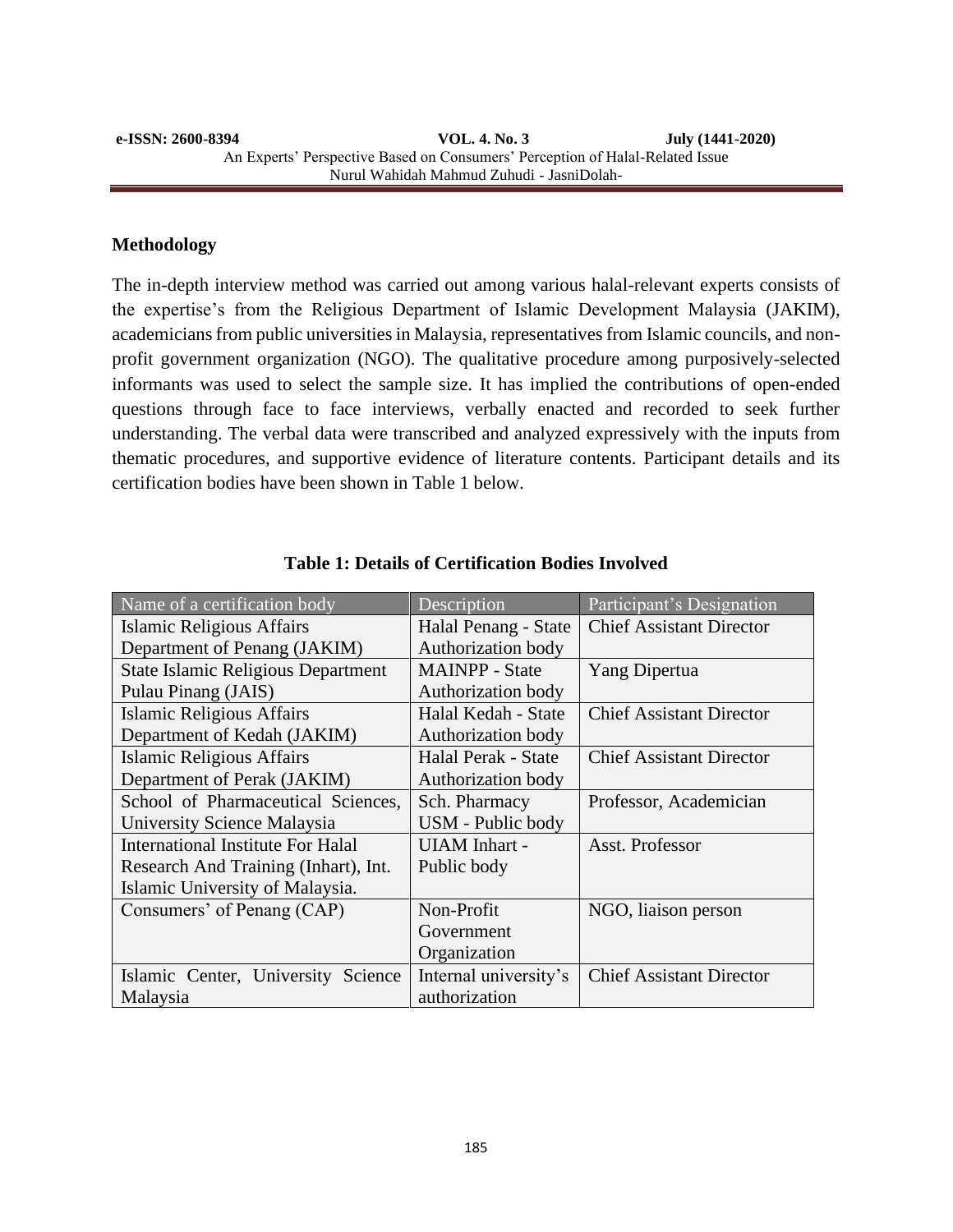#### **e-ISSN: 2600-8394 VOL. 4. No. 3 July (1441-2020)**  An Experts' Perspective Based on Consumers' Perception of Halal-Related Issue Nurul Wahidah Mahmud Zuhudi - JasniDolah-

#### **Methodology**

The in-depth interview method was carried out among various halal-relevant experts consists of the expertise's from the Religious Department of Islamic Development Malaysia (JAKIM), academicians from public universities in Malaysia, representatives from Islamic councils, and nonprofit government organization (NGO). The qualitative procedure among purposively-selected informants was used to select the sample size. It has implied the contributions of open-ended questions through face to face interviews, verbally enacted and recorded to seek further understanding. The verbal data were transcribed and analyzed expressively with the inputs from thematic procedures, and supportive evidence of literature contents. Participant details and its certification bodies have been shown in Table 1 below.

| Name of a certification body              | Description           | Participant's Designation       |
|-------------------------------------------|-----------------------|---------------------------------|
| Islamic Religious Affairs                 | Halal Penang - State  | <b>Chief Assistant Director</b> |
| Department of Penang (JAKIM)              | Authorization body    |                                 |
| <b>State Islamic Religious Department</b> | <b>MAINPP</b> - State | Yang Dipertua                   |
| Pulau Pinang (JAIS)                       | Authorization body    |                                 |
| <b>Islamic Religious Affairs</b>          | Halal Kedah - State   | <b>Chief Assistant Director</b> |
| Department of Kedah (JAKIM)               | Authorization body    |                                 |
| <b>Islamic Religious Affairs</b>          | Halal Perak - State   | <b>Chief Assistant Director</b> |
| Department of Perak (JAKIM)               | Authorization body    |                                 |
| School of Pharmaceutical Sciences,        | Sch. Pharmacy         | Professor, Academician          |
| University Science Malaysia               | USM - Public body     |                                 |
| International Institute For Halal         | <b>UIAM</b> Inhart -  | Asst. Professor                 |
| Research And Training (Inhart), Int.      | Public body           |                                 |
| Islamic University of Malaysia.           |                       |                                 |
| Consumers' of Penang (CAP)                | Non-Profit            | NGO, liaison person             |
|                                           | Government            |                                 |
|                                           | Organization          |                                 |
| Islamic Center, University Science        | Internal university's | <b>Chief Assistant Director</b> |
| Malaysia                                  | authorization         |                                 |

|  |  |  |  | <b>Table 1: Details of Certification Bodies Involved</b> |  |  |
|--|--|--|--|----------------------------------------------------------|--|--|
|--|--|--|--|----------------------------------------------------------|--|--|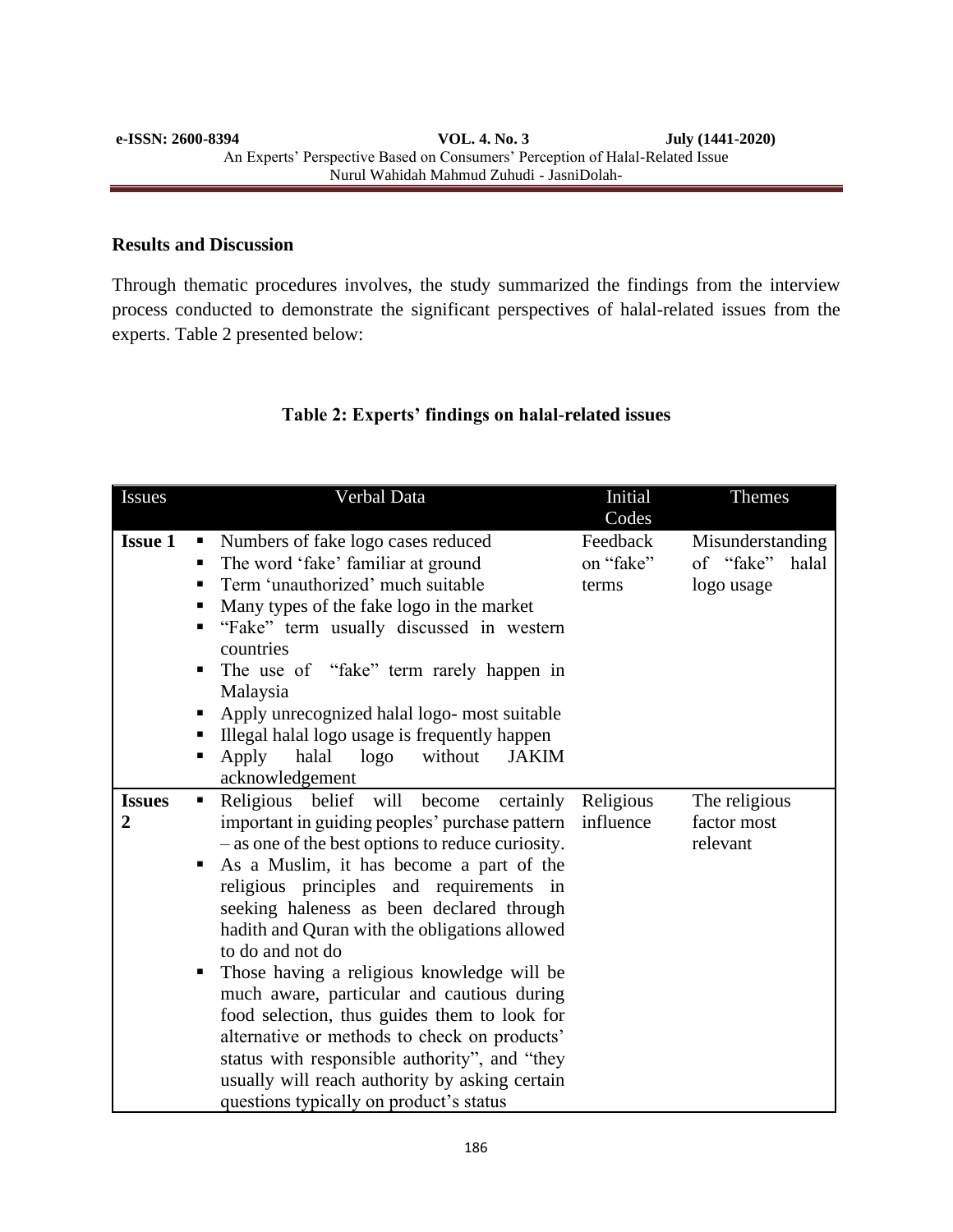#### **Results and Discussion**

Through thematic procedures involves, the study summarized the findings from the interview process conducted to demonstrate the significant perspectives of halal-related issues from the experts. Table 2 presented below:

## **Table 2: Experts' findings on halal-related issues**

| <b>Issues</b>                   | Verbal Data                                                                                                                                                                                                                                                                                                                                                                                                                                                                                                                                                                                                                                                                                                                       | Initial<br>Codes               | <b>Themes</b>                                        |
|---------------------------------|-----------------------------------------------------------------------------------------------------------------------------------------------------------------------------------------------------------------------------------------------------------------------------------------------------------------------------------------------------------------------------------------------------------------------------------------------------------------------------------------------------------------------------------------------------------------------------------------------------------------------------------------------------------------------------------------------------------------------------------|--------------------------------|------------------------------------------------------|
| <b>Issue 1</b>                  | Numbers of fake logo cases reduced<br>п<br>The word 'fake' familiar at ground<br>Term 'unauthorized' much suitable<br>٠<br>Many types of the fake logo in the market<br>ш<br>"Fake" term usually discussed in western<br>countries<br>The use of "fake" term rarely happen in<br>п<br>Malaysia<br>Apply unrecognized halal logo- most suitable<br>Illegal halal logo usage is frequently happen<br>Apply<br>without<br>halal<br>logo<br><b>JAKIM</b><br>ш                                                                                                                                                                                                                                                                         | Feedback<br>on "fake"<br>terms | Misunderstanding<br>of "fake"<br>halal<br>logo usage |
| <b>Issues</b><br>$\overline{2}$ | acknowledgement<br>Religious belief will become<br>certainly<br>п<br>important in guiding peoples' purchase pattern<br>- as one of the best options to reduce curiosity.<br>As a Muslim, it has become a part of the<br>religious principles and requirements in<br>seeking haleness as been declared through<br>hadith and Quran with the obligations allowed<br>to do and not do<br>Those having a religious knowledge will be<br>ш<br>much aware, particular and cautious during<br>food selection, thus guides them to look for<br>alternative or methods to check on products'<br>status with responsible authority", and "they<br>usually will reach authority by asking certain<br>questions typically on product's status | Religious<br>influence         | The religious<br>factor most<br>relevant             |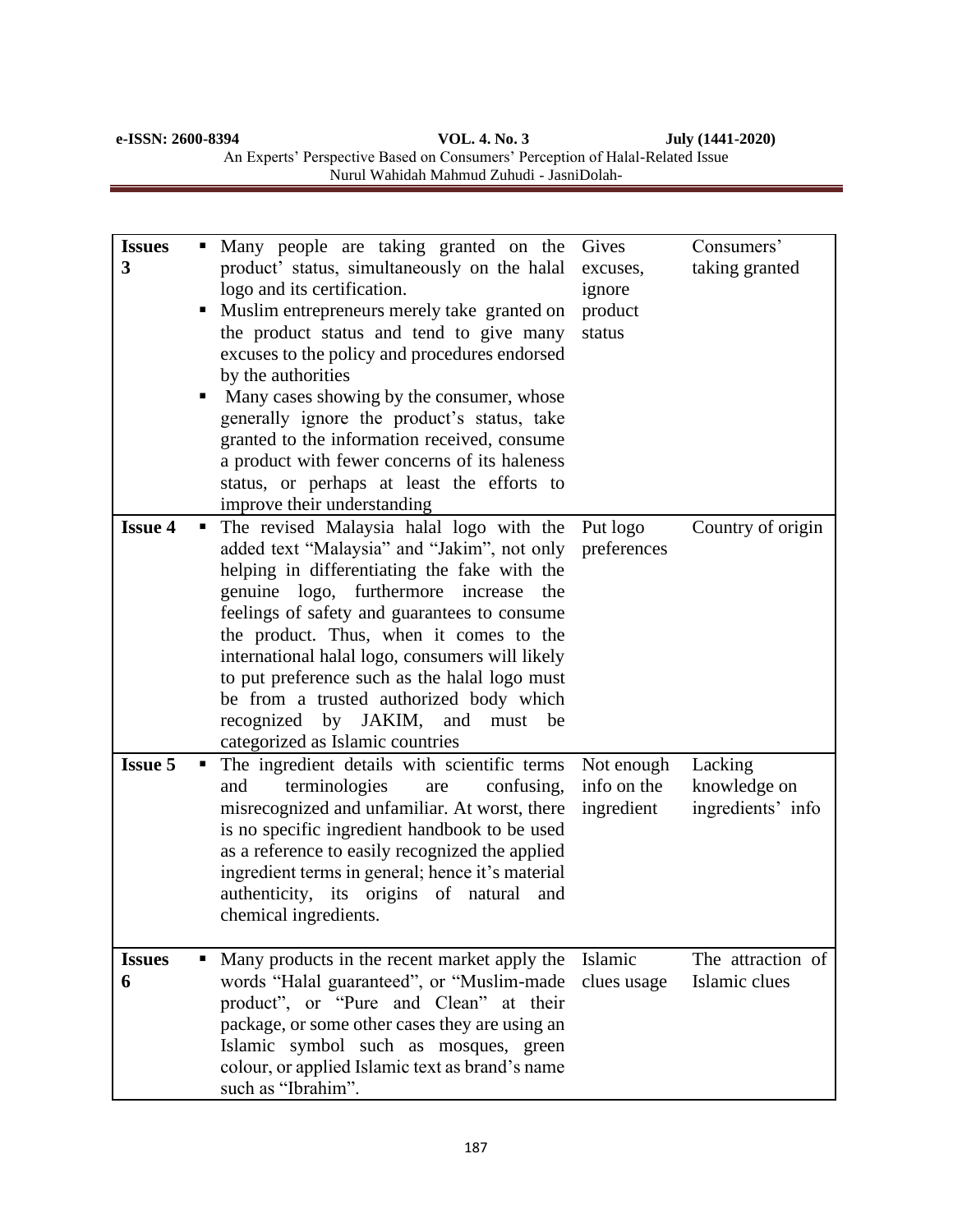| e-ISSN: 2600-8394 | VOL. 4. No. 3                                                                 | July (1441-2020) |  |
|-------------------|-------------------------------------------------------------------------------|------------------|--|
|                   | An Experts' Perspective Based on Consumers' Perception of Halal-Related Issue |                  |  |
|                   | Nurul Wahidah Mahmud Zuhudi - JasniDolah-                                     |                  |  |

| <b>Issues</b><br>3 | п<br>п | Many people are taking granted on the<br>product' status, simultaneously on the halal<br>logo and its certification.<br>Muslim entrepreneurs merely take granted on<br>the product status and tend to give many<br>excuses to the policy and procedures endorsed<br>by the authorities<br>Many cases showing by the consumer, whose<br>generally ignore the product's status, take<br>granted to the information received, consume<br>a product with fewer concerns of its haleness<br>status, or perhaps at least the efforts to<br>improve their understanding | Gives<br>excuses,<br>ignore<br>product<br>status | Consumers'<br>taking granted                 |
|--------------------|--------|------------------------------------------------------------------------------------------------------------------------------------------------------------------------------------------------------------------------------------------------------------------------------------------------------------------------------------------------------------------------------------------------------------------------------------------------------------------------------------------------------------------------------------------------------------------|--------------------------------------------------|----------------------------------------------|
| <b>Issue 4</b>     | п      | The revised Malaysia halal logo with the<br>added text "Malaysia" and "Jakim", not only<br>helping in differentiating the fake with the<br>genuine logo, furthermore increase<br>the<br>feelings of safety and guarantees to consume<br>the product. Thus, when it comes to the<br>international halal logo, consumers will likely<br>to put preference such as the halal logo must<br>be from a trusted authorized body which<br>recognized by JAKIM,<br>and<br>must<br>be<br>categorized as Islamic countries                                                  | Put logo<br>preferences                          | Country of origin                            |
| <b>Issue 5</b>     |        | The ingredient details with scientific terms<br>terminologies<br>confusing,<br>and<br>are<br>misrecognized and unfamiliar. At worst, there<br>is no specific ingredient handbook to be used<br>as a reference to easily recognized the applied<br>ingredient terms in general; hence it's material<br>authenticity, its origins of natural<br>and<br>chemical ingredients.                                                                                                                                                                                       | Not enough<br>info on the<br>ingredient          | Lacking<br>knowledge on<br>ingredients' info |
| <b>Issues</b><br>6 |        | Many products in the recent market apply the<br>words "Halal guaranteed", or "Muslim-made<br>product", or "Pure and Clean" at their<br>package, or some other cases they are using an<br>Islamic symbol such as mosques, green<br>colour, or applied Islamic text as brand's name<br>such as "Ibrahim".                                                                                                                                                                                                                                                          | Islamic<br>clues usage                           | The attraction of<br>Islamic clues           |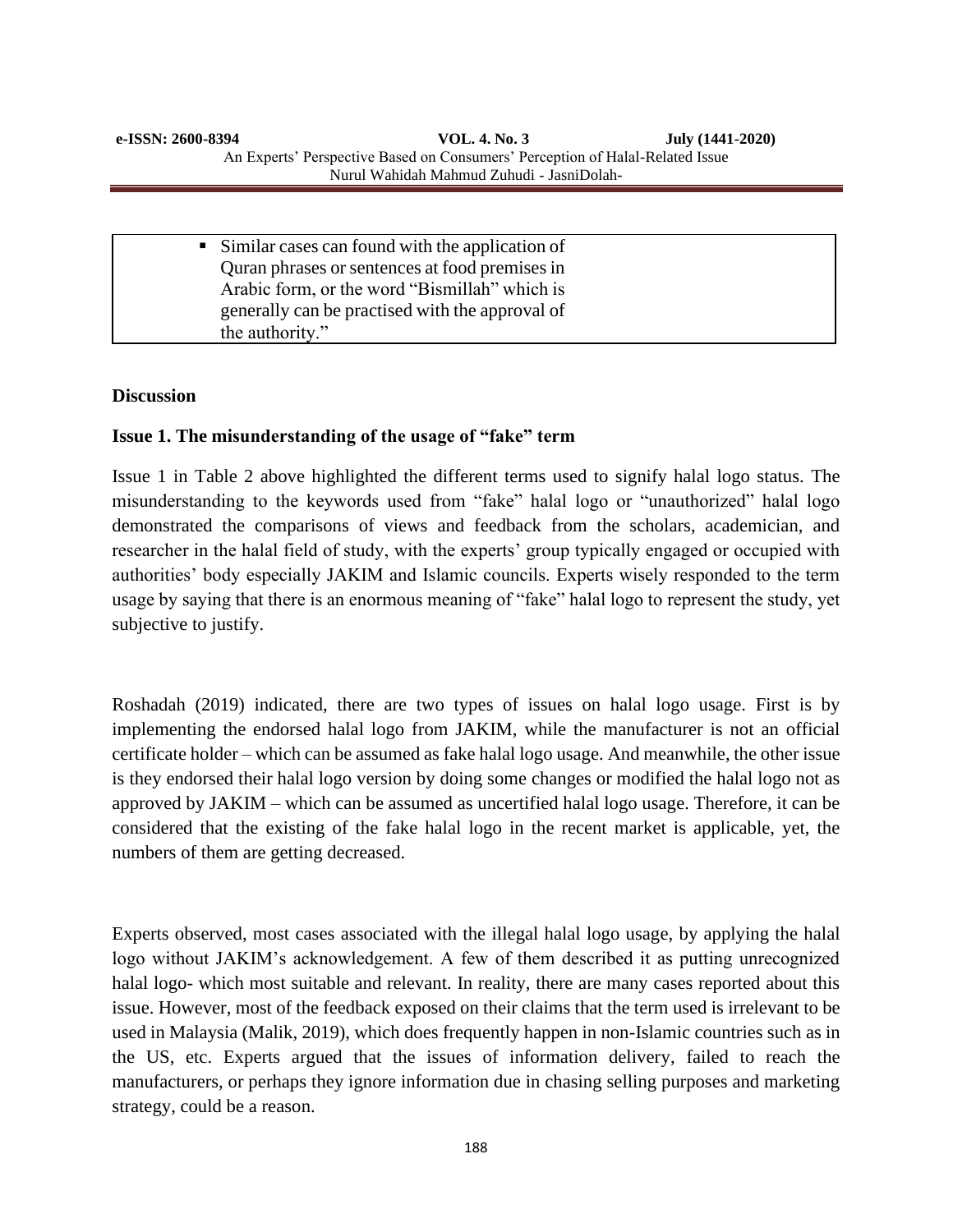| • Similar cases can found with the application of |
|---------------------------------------------------|
| Quran phrases or sentences at food premises in    |
| Arabic form, or the word "Bismillah" which is     |
| generally can be practised with the approval of   |
| the authority."                                   |

#### **Discussion**

## **Issue 1. The misunderstanding of the usage of "fake" term**

Issue 1 in Table 2 above highlighted the different terms used to signify halal logo status. The misunderstanding to the keywords used from "fake" halal logo or "unauthorized" halal logo demonstrated the comparisons of views and feedback from the scholars, academician, and researcher in the halal field of study, with the experts' group typically engaged or occupied with authorities' body especially JAKIM and Islamic councils. Experts wisely responded to the term usage by saying that there is an enormous meaning of "fake" halal logo to represent the study, yet subjective to justify.

Roshadah (2019) indicated, there are two types of issues on halal logo usage. First is by implementing the endorsed halal logo from JAKIM, while the manufacturer is not an official certificate holder – which can be assumed as fake halal logo usage. And meanwhile, the other issue is they endorsed their halal logo version by doing some changes or modified the halal logo not as approved by JAKIM – which can be assumed as uncertified halal logo usage. Therefore, it can be considered that the existing of the fake halal logo in the recent market is applicable, yet, the numbers of them are getting decreased.

Experts observed, most cases associated with the illegal halal logo usage, by applying the halal logo without JAKIM's acknowledgement. A few of them described it as putting unrecognized halal logo- which most suitable and relevant. In reality, there are many cases reported about this issue. However, most of the feedback exposed on their claims that the term used is irrelevant to be used in Malaysia (Malik, 2019), which does frequently happen in non-Islamic countries such as in the US, etc. Experts argued that the issues of information delivery, failed to reach the manufacturers, or perhaps they ignore information due in chasing selling purposes and marketing strategy, could be a reason.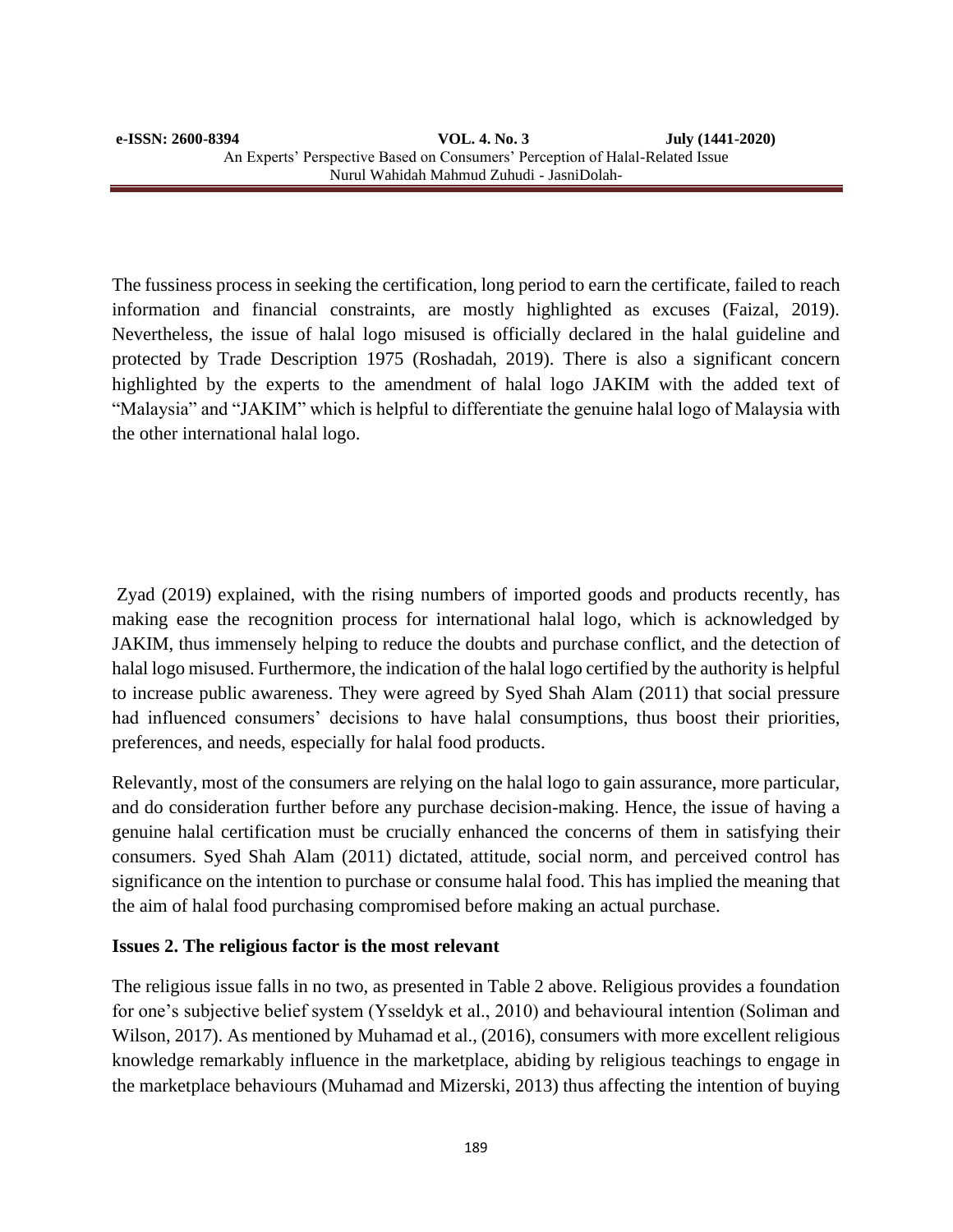The fussiness process in seeking the certification, long period to earn the certificate, failed to reach information and financial constraints, are mostly highlighted as excuses (Faizal, 2019). Nevertheless, the issue of halal logo misused is officially declared in the halal guideline and protected by Trade Description 1975 (Roshadah, 2019). There is also a significant concern highlighted by the experts to the amendment of halal logo JAKIM with the added text of "Malaysia" and "JAKIM" which is helpful to differentiate the genuine halal logo of Malaysia with the other international halal logo.

Zyad (2019) explained, with the rising numbers of imported goods and products recently, has making ease the recognition process for international halal logo, which is acknowledged by JAKIM, thus immensely helping to reduce the doubts and purchase conflict, and the detection of halal logo misused. Furthermore, the indication of the halal logo certified by the authority is helpful to increase public awareness. They were agreed by Syed Shah Alam (2011) that social pressure had influenced consumers' decisions to have halal consumptions, thus boost their priorities, preferences, and needs, especially for halal food products.

Relevantly, most of the consumers are relying on the halal logo to gain assurance, more particular, and do consideration further before any purchase decision-making. Hence, the issue of having a genuine halal certification must be crucially enhanced the concerns of them in satisfying their consumers. Syed Shah Alam (2011) dictated, attitude, social norm, and perceived control has significance on the intention to purchase or consume halal food. This has implied the meaning that the aim of halal food purchasing compromised before making an actual purchase.

#### **Issues 2. The religious factor is the most relevant**

The religious issue falls in no two, as presented in Table 2 above. Religious provides a foundation for one's subjective belief system (Ysseldyk et al., 2010) and behavioural intention (Soliman and Wilson, 2017). As mentioned by Muhamad et al., (2016), consumers with more excellent religious knowledge remarkably influence in the marketplace, abiding by religious teachings to engage in the marketplace behaviours (Muhamad and Mizerski, 2013) thus affecting the intention of buying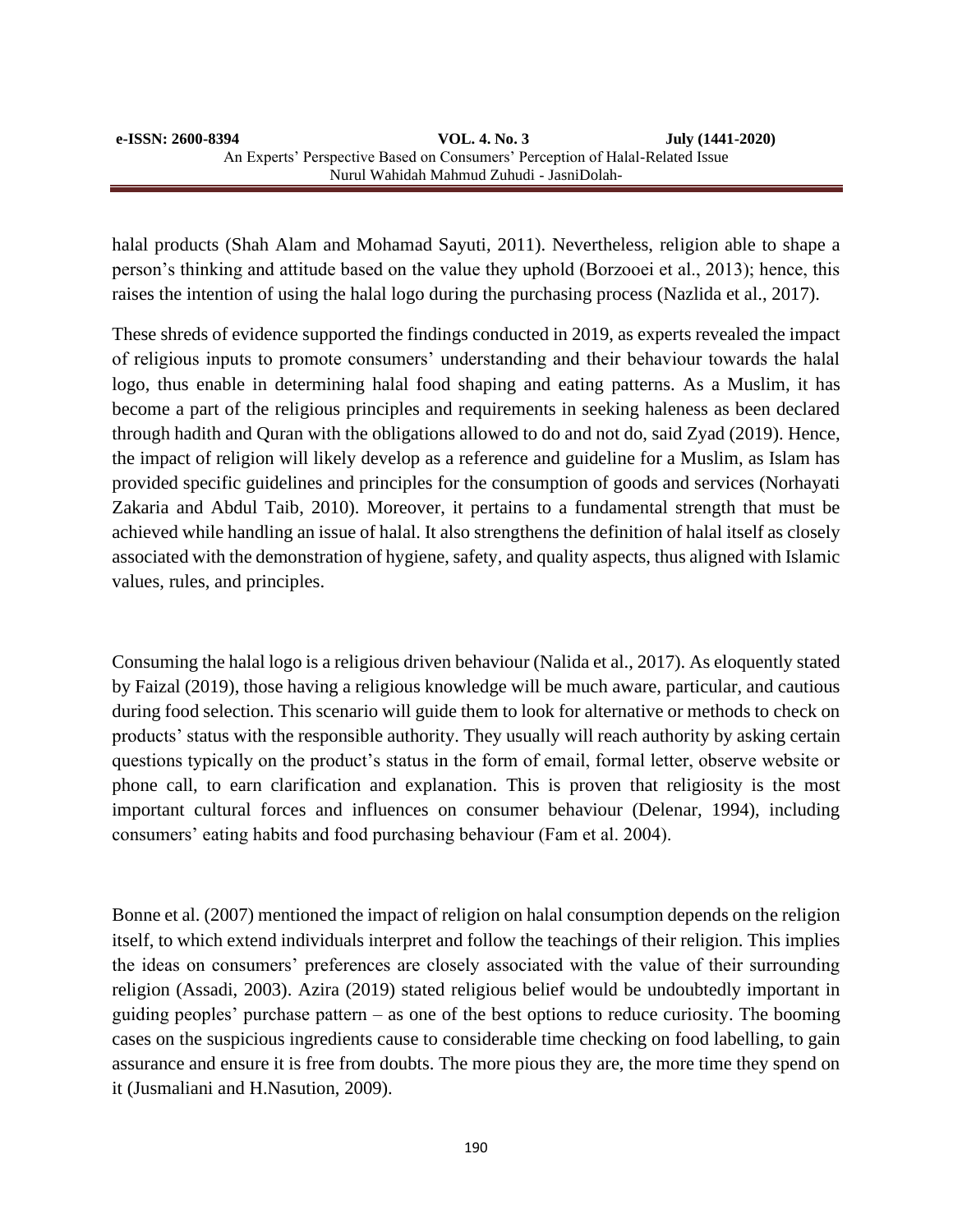halal products (Shah Alam and Mohamad Sayuti, 2011). Nevertheless, religion able to shape a person's thinking and attitude based on the value they uphold (Borzooei et al., 2013); hence, this raises the intention of using the halal logo during the purchasing process (Nazlida et al., 2017).

These shreds of evidence supported the findings conducted in 2019, as experts revealed the impact of religious inputs to promote consumers' understanding and their behaviour towards the halal logo, thus enable in determining halal food shaping and eating patterns. As a Muslim, it has become a part of the religious principles and requirements in seeking haleness as been declared through hadith and Quran with the obligations allowed to do and not do, said Zyad (2019). Hence, the impact of religion will likely develop as a reference and guideline for a Muslim, as Islam has provided specific guidelines and principles for the consumption of goods and services (Norhayati Zakaria and Abdul Taib, 2010). Moreover, it pertains to a fundamental strength that must be achieved while handling an issue of halal. It also strengthens the definition of halal itself as closely associated with the demonstration of hygiene, safety, and quality aspects, thus aligned with Islamic values, rules, and principles.

Consuming the halal logo is a religious driven behaviour (Nalida et al., 2017). As eloquently stated by Faizal (2019), those having a religious knowledge will be much aware, particular, and cautious during food selection. This scenario will guide them to look for alternative or methods to check on products' status with the responsible authority. They usually will reach authority by asking certain questions typically on the product's status in the form of email, formal letter, observe website or phone call, to earn clarification and explanation. This is proven that religiosity is the most important cultural forces and influences on consumer behaviour (Delenar, 1994), including consumers' eating habits and food purchasing behaviour (Fam et al. 2004).

Bonne et al. (2007) mentioned the impact of religion on halal consumption depends on the religion itself, to which extend individuals interpret and follow the teachings of their religion. This implies the ideas on consumers' preferences are closely associated with the value of their surrounding religion (Assadi, 2003). Azira (2019) stated religious belief would be undoubtedly important in guiding peoples' purchase pattern – as one of the best options to reduce curiosity. The booming cases on the suspicious ingredients cause to considerable time checking on food labelling, to gain assurance and ensure it is free from doubts. The more pious they are, the more time they spend on it (Jusmaliani and H.Nasution, 2009).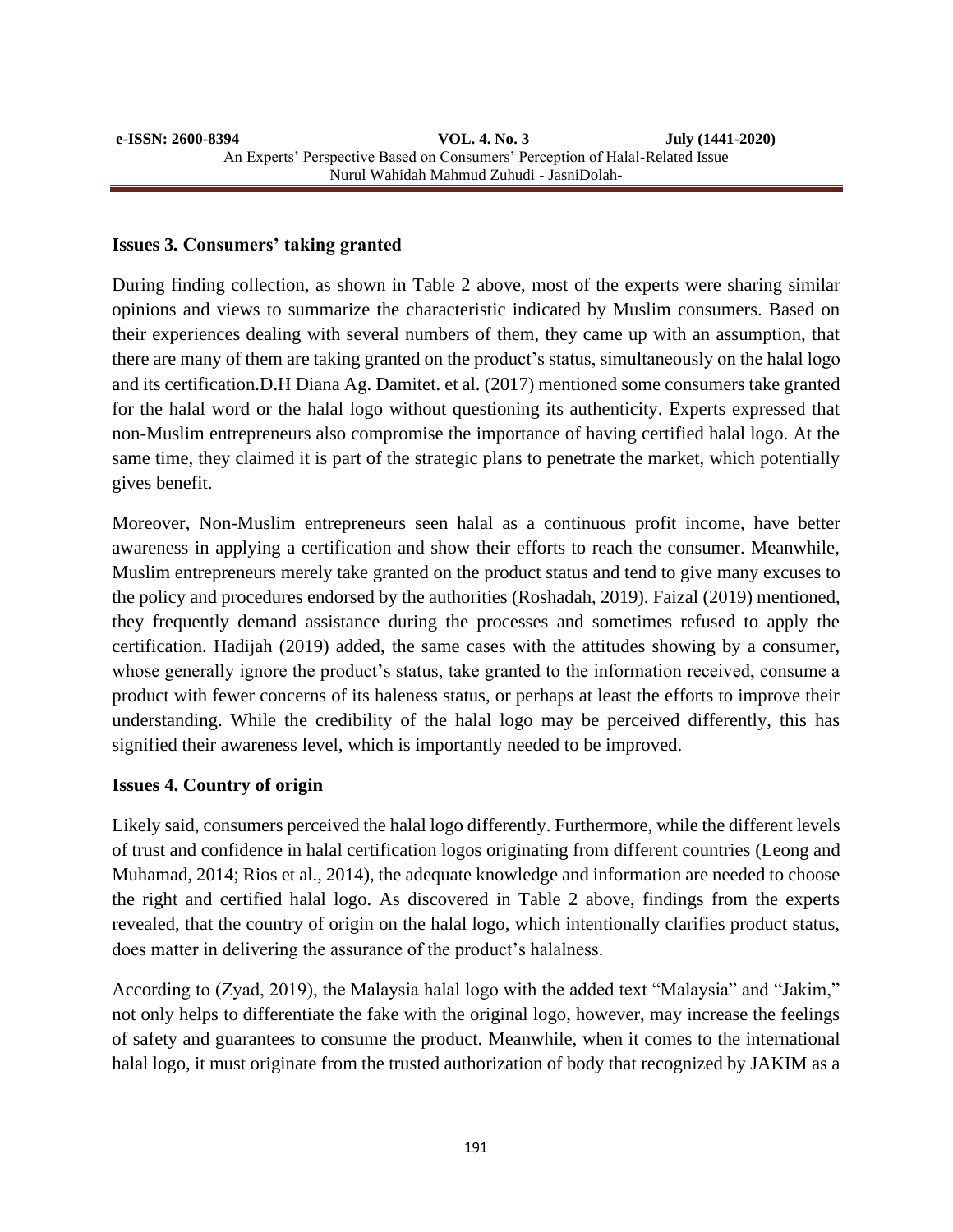#### **Issues 3***.* **Consumers' taking granted**

During finding collection, as shown in Table 2 above, most of the experts were sharing similar opinions and views to summarize the characteristic indicated by Muslim consumers. Based on their experiences dealing with several numbers of them, they came up with an assumption, that there are many of them are taking granted on the product's status, simultaneously on the halal logo and its certification.D.H Diana Ag. Damitet. et al. (2017) mentioned some consumers take granted for the halal word or the halal logo without questioning its authenticity. Experts expressed that non-Muslim entrepreneurs also compromise the importance of having certified halal logo. At the same time, they claimed it is part of the strategic plans to penetrate the market, which potentially gives benefit.

Moreover, Non-Muslim entrepreneurs seen halal as a continuous profit income, have better awareness in applying a certification and show their efforts to reach the consumer. Meanwhile, Muslim entrepreneurs merely take granted on the product status and tend to give many excuses to the policy and procedures endorsed by the authorities (Roshadah, 2019). Faizal (2019) mentioned, they frequently demand assistance during the processes and sometimes refused to apply the certification. Hadijah (2019) added, the same cases with the attitudes showing by a consumer, whose generally ignore the product's status, take granted to the information received, consume a product with fewer concerns of its haleness status, or perhaps at least the efforts to improve their understanding. While the credibility of the halal logo may be perceived differently, this has signified their awareness level, which is importantly needed to be improved.

#### **Issues 4. Country of origin**

Likely said, consumers perceived the halal logo differently. Furthermore, while the different levels of trust and confidence in halal certification logos originating from different countries (Leong and Muhamad, 2014; Rios et al., 2014), the adequate knowledge and information are needed to choose the right and certified halal logo. As discovered in Table 2 above, findings from the experts revealed, that the country of origin on the halal logo, which intentionally clarifies product status, does matter in delivering the assurance of the product's halalness.

According to (Zyad, 2019), the Malaysia halal logo with the added text "Malaysia" and "Jakim," not only helps to differentiate the fake with the original logo, however, may increase the feelings of safety and guarantees to consume the product. Meanwhile, when it comes to the international halal logo, it must originate from the trusted authorization of body that recognized by JAKIM as a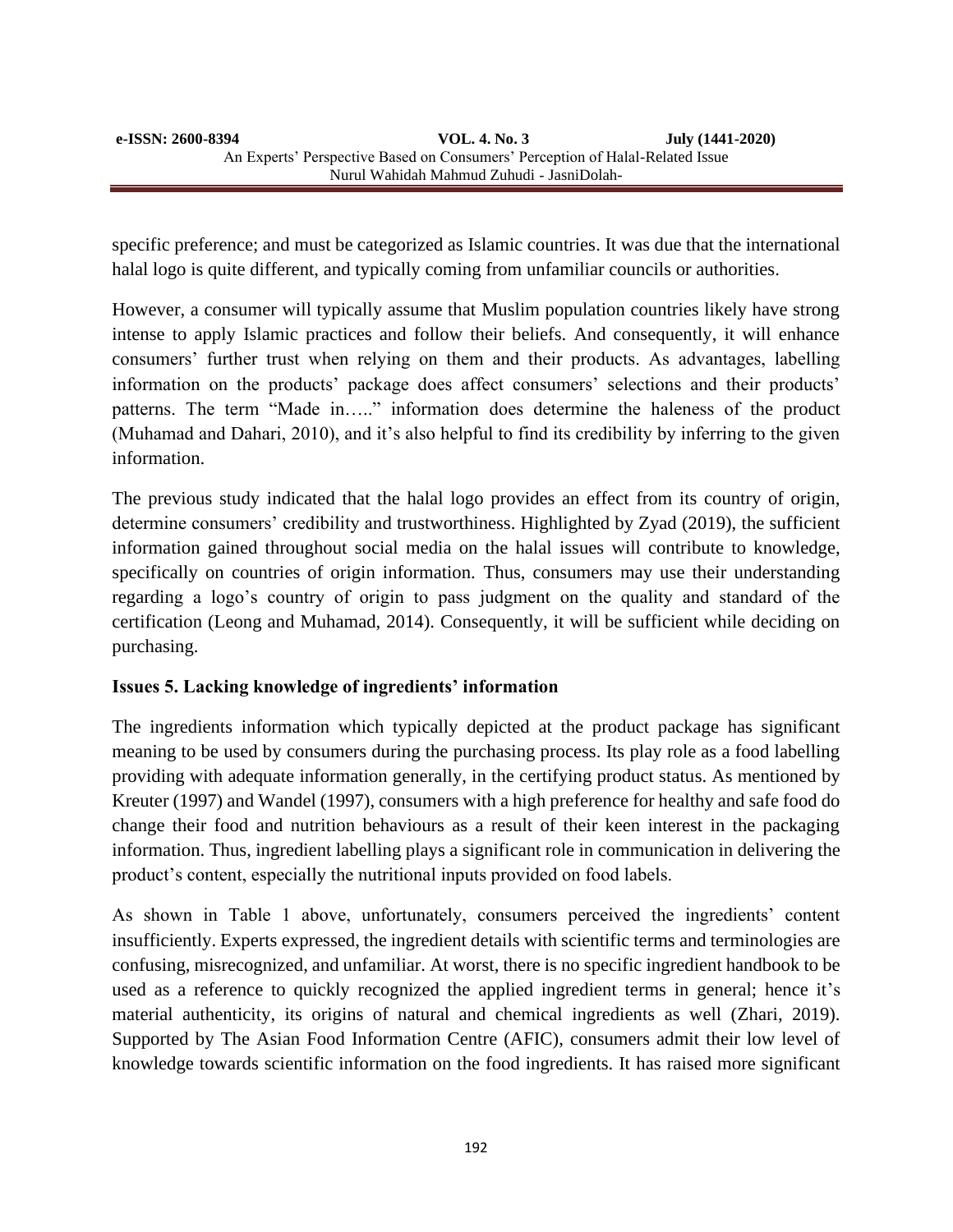specific preference; and must be categorized as Islamic countries. It was due that the international halal logo is quite different, and typically coming from unfamiliar councils or authorities.

However, a consumer will typically assume that Muslim population countries likely have strong intense to apply Islamic practices and follow their beliefs. And consequently, it will enhance consumers' further trust when relying on them and their products. As advantages, labelling information on the products' package does affect consumers' selections and their products' patterns. The term "Made in….." information does determine the haleness of the product (Muhamad and Dahari, 2010), and it's also helpful to find its credibility by inferring to the given information.

The previous study indicated that the halal logo provides an effect from its country of origin, determine consumers' credibility and trustworthiness. Highlighted by Zyad (2019), the sufficient information gained throughout social media on the halal issues will contribute to knowledge, specifically on countries of origin information. Thus, consumers may use their understanding regarding a logo's country of origin to pass judgment on the quality and standard of the certification (Leong and Muhamad, 2014). Consequently, it will be sufficient while deciding on purchasing.

## **Issues 5. Lacking knowledge of ingredients' information**

The ingredients information which typically depicted at the product package has significant meaning to be used by consumers during the purchasing process. Its play role as a food labelling providing with adequate information generally, in the certifying product status. As mentioned by Kreuter (1997) and Wandel (1997), consumers with a high preference for healthy and safe food do change their food and nutrition behaviours as a result of their keen interest in the packaging information. Thus, ingredient labelling plays a significant role in communication in delivering the product's content, especially the nutritional inputs provided on food labels.

As shown in Table 1 above, unfortunately, consumers perceived the ingredients' content insufficiently. Experts expressed, the ingredient details with scientific terms and terminologies are confusing, misrecognized, and unfamiliar. At worst, there is no specific ingredient handbook to be used as a reference to quickly recognized the applied ingredient terms in general; hence it's material authenticity, its origins of natural and chemical ingredients as well (Zhari, 2019). Supported by The Asian Food Information Centre (AFIC), consumers admit their low level of knowledge towards scientific information on the food ingredients. It has raised more significant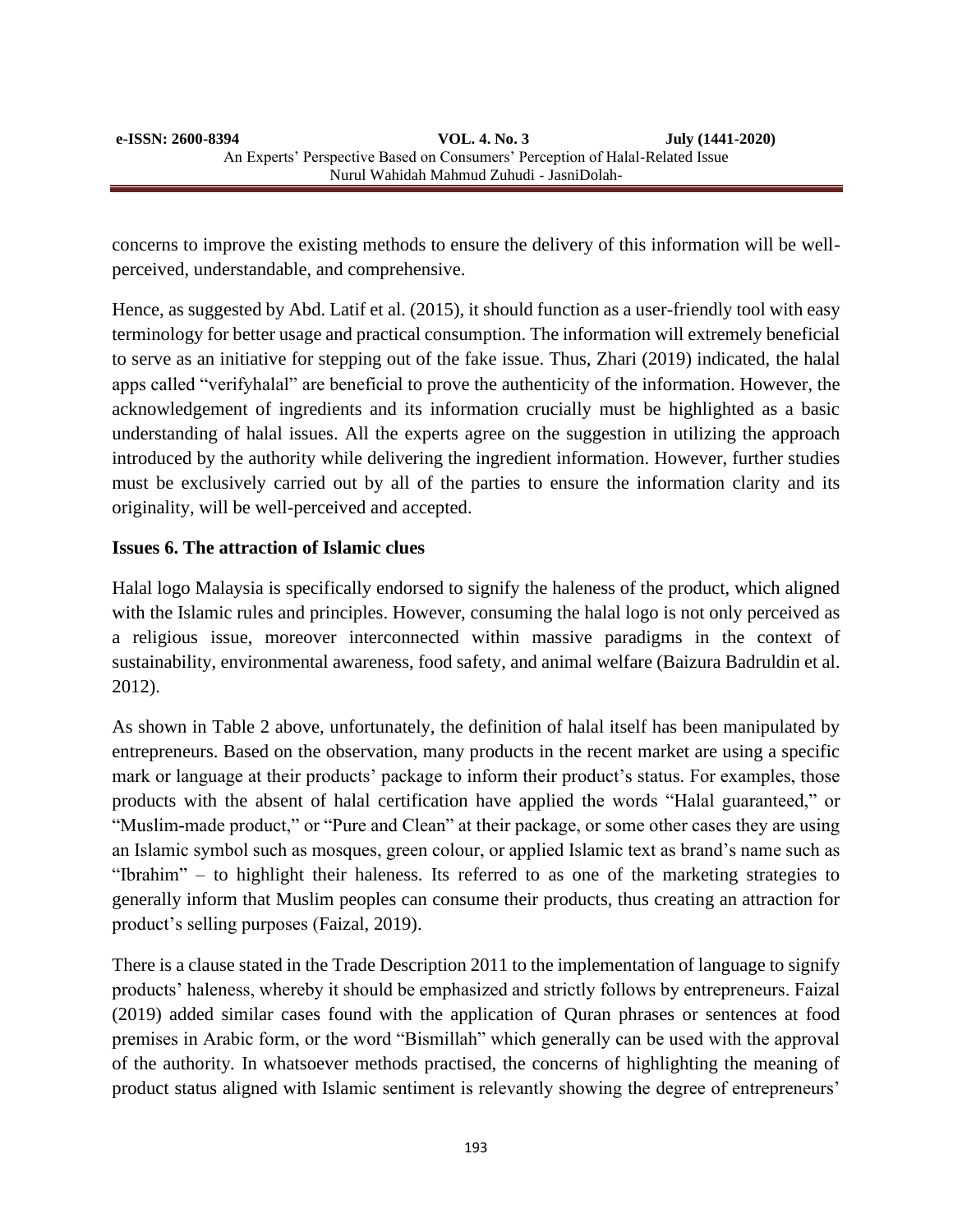concerns to improve the existing methods to ensure the delivery of this information will be wellperceived, understandable, and comprehensive.

Hence, as suggested by Abd. Latif et al. (2015), it should function as a user-friendly tool with easy terminology for better usage and practical consumption. The information will extremely beneficial to serve as an initiative for stepping out of the fake issue. Thus, Zhari (2019) indicated, the halal apps called "verifyhalal" are beneficial to prove the authenticity of the information. However, the acknowledgement of ingredients and its information crucially must be highlighted as a basic understanding of halal issues. All the experts agree on the suggestion in utilizing the approach introduced by the authority while delivering the ingredient information. However, further studies must be exclusively carried out by all of the parties to ensure the information clarity and its originality, will be well-perceived and accepted.

## **Issues 6. The attraction of Islamic clues**

Halal logo Malaysia is specifically endorsed to signify the haleness of the product, which aligned with the Islamic rules and principles. However, consuming the halal logo is not only perceived as a religious issue, moreover interconnected within massive paradigms in the context of sustainability, environmental awareness, food safety, and animal welfare (Baizura Badruldin et al. 2012).

As shown in Table 2 above, unfortunately, the definition of halal itself has been manipulated by entrepreneurs. Based on the observation, many products in the recent market are using a specific mark or language at their products' package to inform their product's status. For examples, those products with the absent of halal certification have applied the words "Halal guaranteed," or "Muslim-made product," or "Pure and Clean" at their package, or some other cases they are using an Islamic symbol such as mosques, green colour, or applied Islamic text as brand's name such as "Ibrahim" *–* to highlight their haleness. Its referred to as one of the marketing strategies to generally inform that Muslim peoples can consume their products, thus creating an attraction for product's selling purposes (Faizal, 2019).

There is a clause stated in the Trade Description 2011 to the implementation of language to signify products' haleness, whereby it should be emphasized and strictly follows by entrepreneurs. Faizal (2019) added similar cases found with the application of Quran phrases or sentences at food premises in Arabic form, or the word "Bismillah" which generally can be used with the approval of the authority*.* In whatsoever methods practised, the concerns of highlighting the meaning of product status aligned with Islamic sentiment is relevantly showing the degree of entrepreneurs'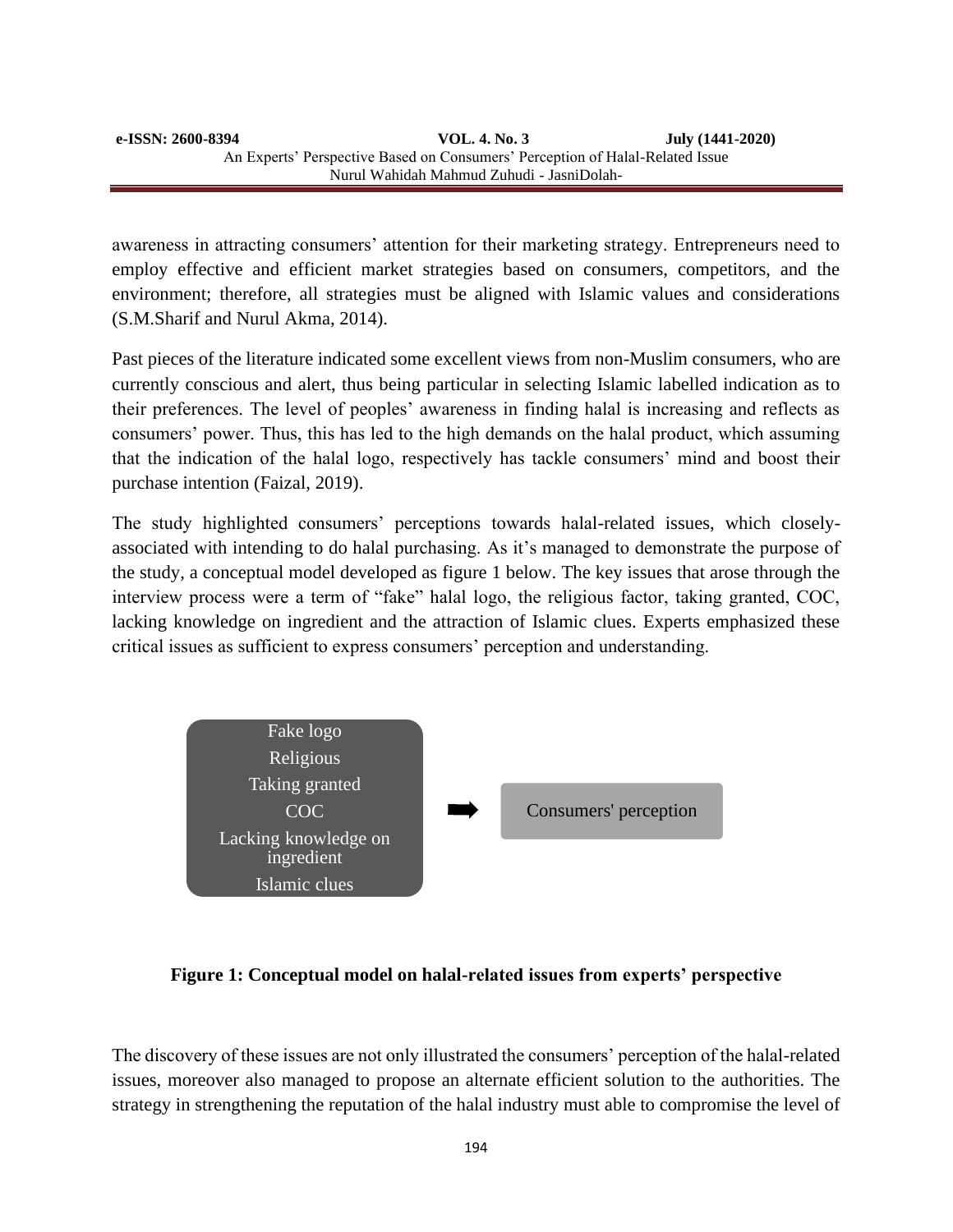awareness in attracting consumers' attention for their marketing strategy. Entrepreneurs need to employ effective and efficient market strategies based on consumers, competitors, and the environment; therefore, all strategies must be aligned with Islamic values and considerations (S.M.Sharif and Nurul Akma, 2014).

Past pieces of the literature indicated some excellent views from non-Muslim consumers, who are currently conscious and alert, thus being particular in selecting Islamic labelled indication as to their preferences. The level of peoples' awareness in finding halal is increasing and reflects as consumers' power. Thus, this has led to the high demands on the halal product, which assuming that the indication of the halal logo, respectively has tackle consumers' mind and boost their purchase intention (Faizal, 2019).

The study highlighted consumers' perceptions towards halal-related issues, which closelyassociated with intending to do halal purchasing. As it's managed to demonstrate the purpose of the study, a conceptual model developed as figure 1 below. The key issues that arose through the interview process were a term of "fake" halal logo, the religious factor, taking granted, COC, lacking knowledge on ingredient and the attraction of Islamic clues. Experts emphasized these critical issues as sufficient to express consumers' perception and understanding.



#### **Figure 1: Conceptual model on halal-related issues from experts' perspective**

The discovery of these issues are not only illustrated the consumers' perception of the halal-related issues, moreover also managed to propose an alternate efficient solution to the authorities. The strategy in strengthening the reputation of the halal industry must able to compromise the level of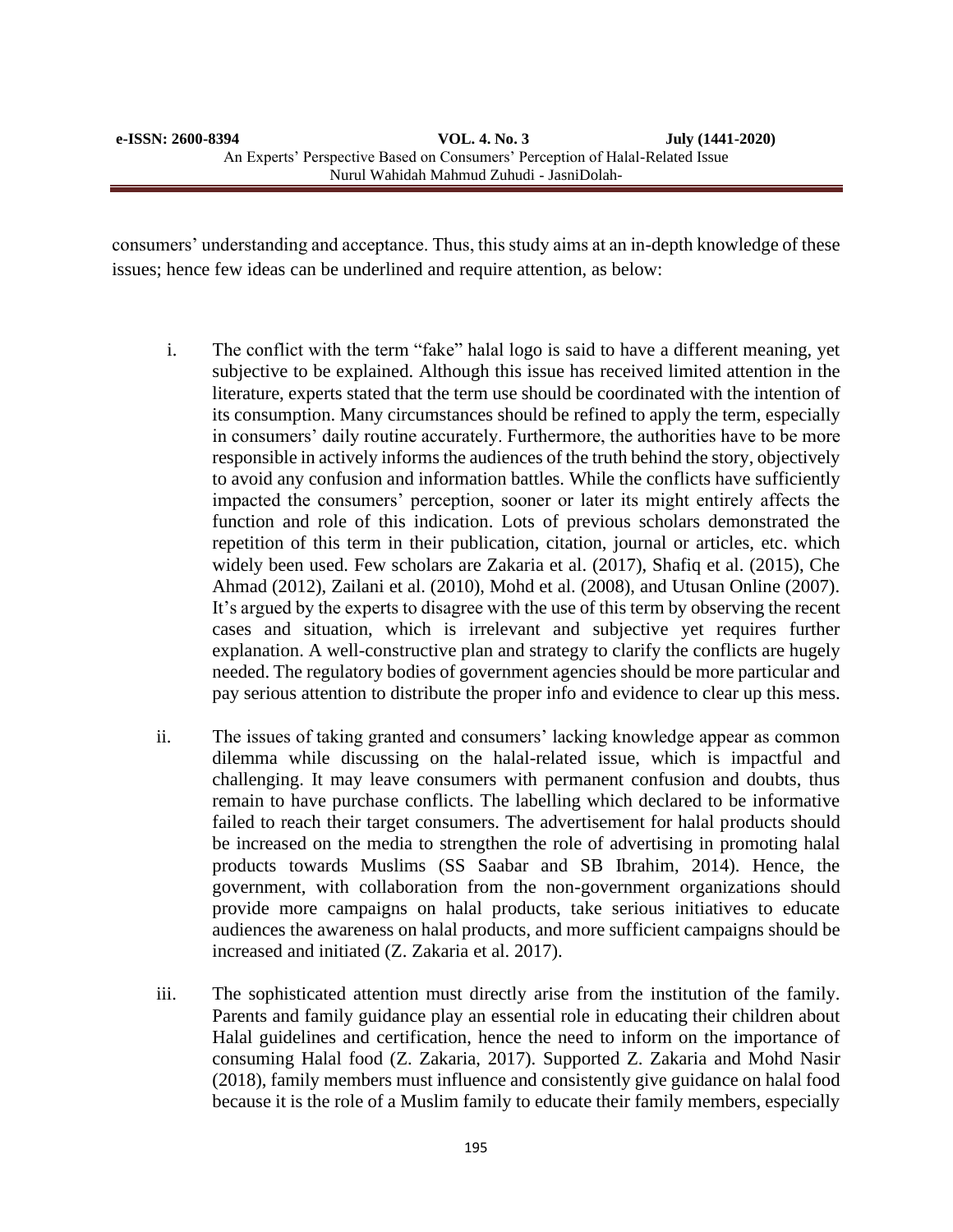consumers' understanding and acceptance. Thus, this study aims at an in-depth knowledge of these issues; hence few ideas can be underlined and require attention, as below:

- i. The conflict with the term "fake" halal logo is said to have a different meaning, yet subjective to be explained. Although this issue has received limited attention in the literature, experts stated that the term use should be coordinated with the intention of its consumption. Many circumstances should be refined to apply the term, especially in consumers' daily routine accurately. Furthermore, the authorities have to be more responsible in actively informs the audiences of the truth behind the story, objectively to avoid any confusion and information battles. While the conflicts have sufficiently impacted the consumers' perception, sooner or later its might entirely affects the function and role of this indication. Lots of previous scholars demonstrated the repetition of this term in their publication, citation, journal or articles, etc. which widely been used. Few scholars are Zakaria et al. (2017), Shafiq et al. (2015), Che Ahmad (2012), Zailani et al. (2010), Mohd et al. (2008), and Utusan Online (2007). It's argued by the experts to disagree with the use of this term by observing the recent cases and situation, which is irrelevant and subjective yet requires further explanation. A well-constructive plan and strategy to clarify the conflicts are hugely needed. The regulatory bodies of government agencies should be more particular and pay serious attention to distribute the proper info and evidence to clear up this mess.
- ii. The issues of taking granted and consumers' lacking knowledge appear as common dilemma while discussing on the halal-related issue, which is impactful and challenging. It may leave consumers with permanent confusion and doubts, thus remain to have purchase conflicts. The labelling which declared to be informative failed to reach their target consumers. The advertisement for halal products should be increased on the media to strengthen the role of advertising in promoting halal products towards Muslims (SS Saabar and SB Ibrahim, 2014). Hence, the government, with collaboration from the non-government organizations should provide more campaigns on halal products, take serious initiatives to educate audiences the awareness on halal products, and more sufficient campaigns should be increased and initiated (Z. Zakaria et al. 2017).
- iii. The sophisticated attention must directly arise from the institution of the family. Parents and family guidance play an essential role in educating their children about Halal guidelines and certification, hence the need to inform on the importance of consuming Halal food (Z. Zakaria, 2017). Supported Z. Zakaria and Mohd Nasir (2018), family members must influence and consistently give guidance on halal food because it is the role of a Muslim family to educate their family members, especially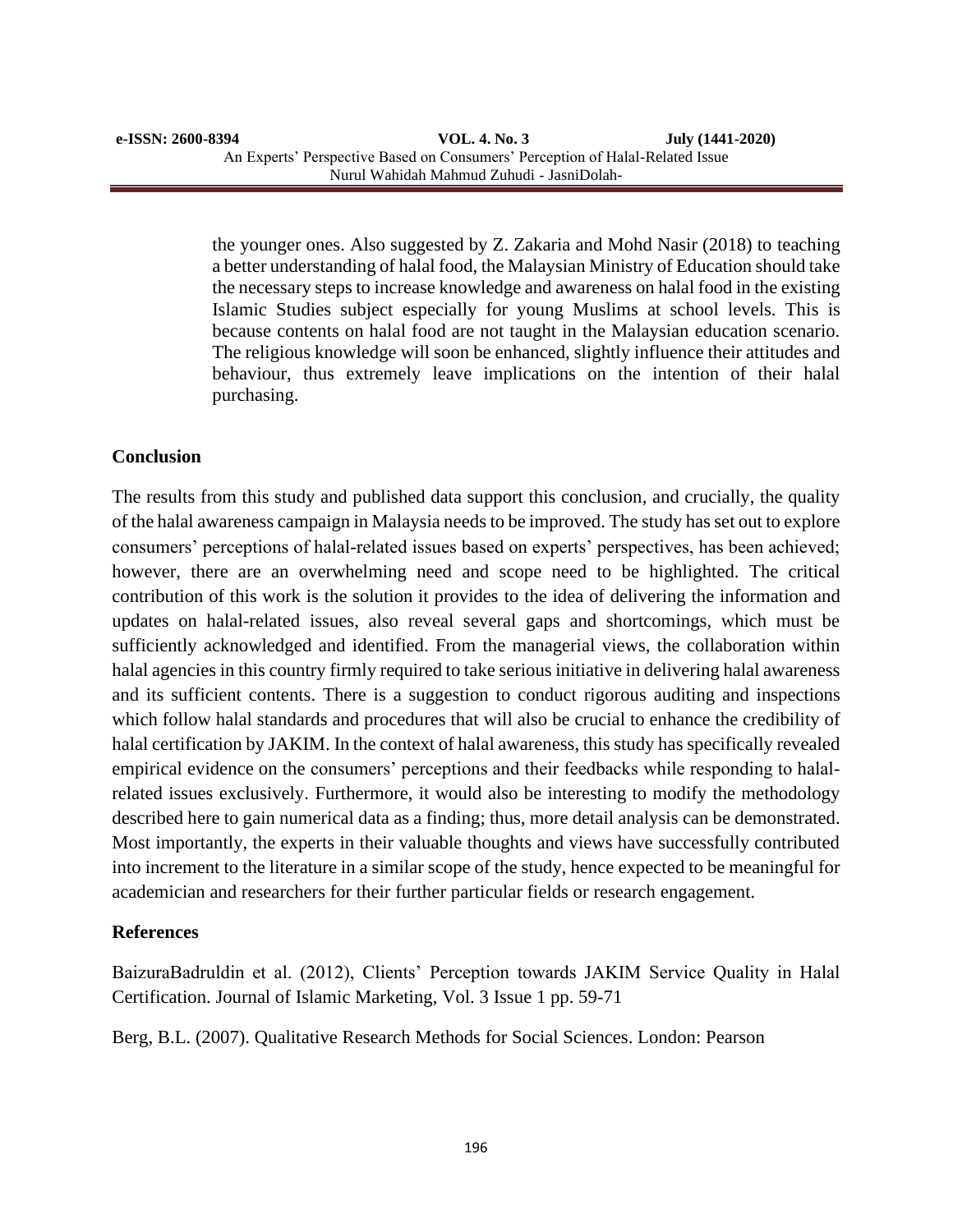the younger ones. Also suggested by Z. Zakaria and Mohd Nasir (2018) to teaching a better understanding of halal food, the Malaysian Ministry of Education should take the necessary steps to increase knowledge and awareness on halal food in the existing Islamic Studies subject especially for young Muslims at school levels. This is because contents on halal food are not taught in the Malaysian education scenario. The religious knowledge will soon be enhanced, slightly influence their attitudes and behaviour, thus extremely leave implications on the intention of their halal purchasing.

### **Conclusion**

The results from this study and published data support this conclusion, and crucially, the quality of the halal awareness campaign in Malaysia needs to be improved. The study has set out to explore consumers' perceptions of halal-related issues based on experts' perspectives, has been achieved; however, there are an overwhelming need and scope need to be highlighted. The critical contribution of this work is the solution it provides to the idea of delivering the information and updates on halal-related issues, also reveal several gaps and shortcomings, which must be sufficiently acknowledged and identified. From the managerial views, the collaboration within halal agencies in this country firmly required to take serious initiative in delivering halal awareness and its sufficient contents. There is a suggestion to conduct rigorous auditing and inspections which follow halal standards and procedures that will also be crucial to enhance the credibility of halal certification by JAKIM. In the context of halal awareness, this study has specifically revealed empirical evidence on the consumers' perceptions and their feedbacks while responding to halalrelated issues exclusively. Furthermore, it would also be interesting to modify the methodology described here to gain numerical data as a finding; thus, more detail analysis can be demonstrated. Most importantly, the experts in their valuable thoughts and views have successfully contributed into increment to the literature in a similar scope of the study, hence expected to be meaningful for academician and researchers for their further particular fields or research engagement.

#### **References**

BaizuraBadruldin et al. (2012), Clients' Perception towards JAKIM Service Quality in Halal Certification. Journal of Islamic Marketing, Vol. 3 Issue 1 pp. 59-71

Berg, B.L. (2007). Qualitative Research Methods for Social Sciences. London: Pearson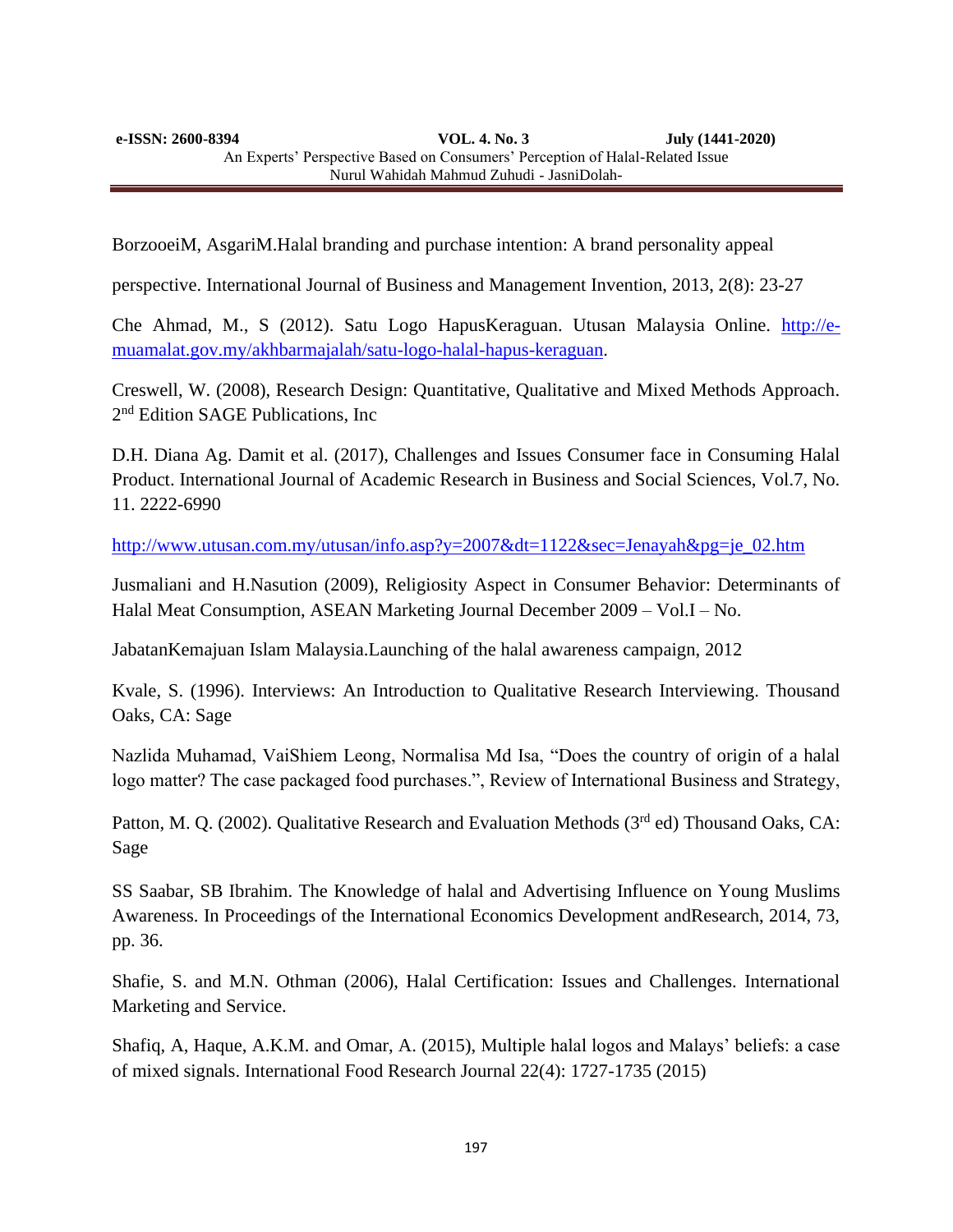**e-ISSN: 2600-8394 VOL. 4. No. 3 July (1441-2020)**  An Experts' Perspective Based on Consumers' Perception of Halal-Related Issue Nurul Wahidah Mahmud Zuhudi - JasniDolah-

BorzooeiM, AsgariM.Halal branding and purchase intention: A brand personality appeal

perspective. International Journal of Business and Management Invention, 2013, 2(8): 23-27

Che Ahmad, M., S (2012). Satu Logo HapusKeraguan. Utusan Malaysia Online. [http://e](http://e-muamalat.gov.my/akhbarmajalah/satu-logo-halal-hapus-keraguan)[muamalat.gov.my/akhbarmajalah/satu-logo-halal-hapus-keraguan.](http://e-muamalat.gov.my/akhbarmajalah/satu-logo-halal-hapus-keraguan)

Creswell, W. (2008), Research Design: Quantitative, Qualitative and Mixed Methods Approach. 2<sup>nd</sup> Edition SAGE Publications, Inc

D.H. Diana Ag. Damit et al. (2017), Challenges and Issues Consumer face in Consuming Halal Product. International Journal of Academic Research in Business and Social Sciences, Vol.7, No. 11. 2222-6990

[http://www.utusan.com.my/utusan/info.asp?y=2007&dt=1122&sec=Jenayah&pg=je\\_02.htm](http://www.utusan.com.my/utusan/info.asp?y=2007&dt=1122&sec=Jenayah&pg=je_02.htm)

Jusmaliani and H.Nasution (2009), Religiosity Aspect in Consumer Behavior: Determinants of Halal Meat Consumption, ASEAN Marketing Journal December 2009 – Vol.I – No.

JabatanKemajuan Islam Malaysia.Launching of the halal awareness campaign, 2012

Kvale, S. (1996). Interviews: An Introduction to Qualitative Research Interviewing. Thousand Oaks, CA: Sage

Nazlida Muhamad, VaiShiem Leong, Normalisa Md Isa, "Does the country of origin of a halal logo matter? The case packaged food purchases.", Review of International Business and Strategy,

Patton, M. Q. (2002). Qualitative Research and Evaluation Methods (3<sup>rd</sup> ed) Thousand Oaks, CA: Sage

SS Saabar, SB Ibrahim. The Knowledge of halal and Advertising Influence on Young Muslims Awareness. In Proceedings of the International Economics Development andResearch, 2014, 73, pp. 36.

Shafie, S. and M.N. Othman (2006), Halal Certification: Issues and Challenges. International Marketing and Service.

Shafiq, A, Haque, A.K.M. and Omar, A. (2015), Multiple halal logos and Malays' beliefs: a case of mixed signals. International Food Research Journal 22(4): 1727-1735 (2015)